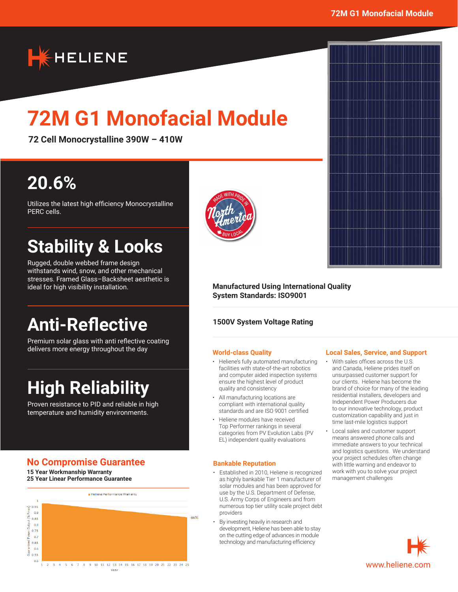# **K**HELIENE

# **72M G1 Monofacial Module**

**72 Cell Monocrystalline 390W – 410W**

## **20.6%**

Utilizes the latest high efficiency Monocrystalline PERC cells.

## **Stability & Looks**

Rugged, double webbed frame design withstands wind, snow, and other mechanical stresses. Framed Glass–Backsheet aesthetic is ideal for high visibility installation.

## **Anti-Reflective**

Premium solar glass with anti reflective coating delivers more energy throughout the day

## **High Reliability**

Proven resistance to PID and reliable in high temperature and humidity environments.

## **No Compromise Guarantee**

**15 Year Workmanship Warranty 25 Year Linear Performance Guarantee**





#### **Manufactured Using International Quality System Standards: ISO9001**

### **1500V System Voltage Rating**

#### **World-class Quality**

- Heliene's fully automated manufacturing facilities with state-of-the-art robotics and computer aided inspection systems ensure the highest level of product quality and consistency
- All manufacturing locations are compliant with international quality standards and are ISO 9001 certified
- Heliene modules have received Top Performer rankings in several categories from PV Evolution Labs (PV EL) independent quality evaluations

#### **Bankable Reputation**

- Established in 2010, Heliene is recognized as highly bankable Tier 1 manufacturer of solar modules and has been approved for use by the U.S. Department of Defense, U.S. Army Corps of Engineers and from numerous top tier utility scale project debt providers
- By investing heavily in research and development, Heliene has been able to stay on the cutting edge of advances in module technology and manufacturing efficiency

#### **Local Sales, Service, and Support**

- With sales offices across the U.S. and Canada, Heliene prides itself on unsurpassed customer support for our clients. Heliene has become the brand of choice for many of the leading residential installers, developers and Independent Power Producers due to our innovative technology, product customization capability and just in time last-mile logistics support
- Local sales and customer support means answered phone calls and immediate answers to your technical and logistics questions. We understand your project schedules often change with little warning and endeavor to work with you to solve your project management challenges